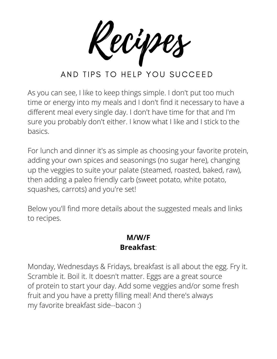Recipes

As you can see, I like to keep things simple. I don't put too much time or energy into my meals and I don't find it necessary to have a different meal every single day. I don't have time for that and I'm sure you probably don't either. I know what I like and I stick to the basics.

For lunch and dinner it's as simple as choosing your favorite protein, adding your own spices and seasonings (no sugar here), changing up the veggies to suite your palate (steamed, roasted, baked, raw), then adding a paleo friendly carb (sweet potato, white potato, squashes, carrots) and you're set!

Below you'll find more details about the suggested meals and links to recipes.

### **M/W/F Breakfast**:

Monday, Wednesdays & Fridays, breakfast is all about the egg. Fry it. Scramble it. Boil it. It doesn't matter. Eggs are a great source of protein to start your day. Add some veggies and/or some fresh fruit and you have a pretty filling meal! And there's always my favorite breakfast side--bacon :)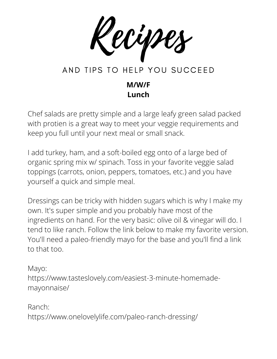Recipes AND TIPS TO HELP YOU SUCCEED

#### **M/W/F Lunch**

Chef salads are pretty simple and a large leafy green salad packed with protien is a great way to meet your veggie requirements and keep you full until your next meal or small snack.

I add turkey, ham, and a soft-boiled egg onto of a large bed of organic spring mix w/ spinach. Toss in your favorite veggie salad toppings (carrots, onion, peppers, tomatoes, etc.) and you have yourself a quick and simple meal.

Dressings can be tricky with hidden sugars which is why I make my own. It's super simple and you probably have most of the ingredients on hand. For the very basic: olive oil & vinegar will do. I tend to like ranch. Follow the link below to make my favorite version. You'll need a paleo-friendly mayo for the base and you'll find a link to that too.

Mayo: https://www.tasteslovely.com/easiest-3-minute-homemademayonnaise/

Ranch: https://www.onelovelylife.com/paleo-ranch-dressing/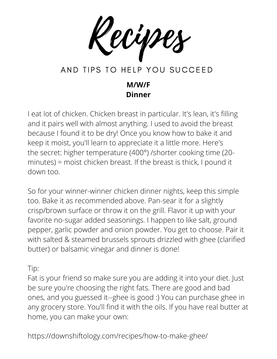Recipes

### **M/W/F Dinner**

I eat lot of chicken. Chicken breast in particular. It's lean, it's filling and it pairs well with almost anything. I used to avoid the breast because I found it to be dry! Once you know how to bake it and keep it moist, you'll learn to appreciate it a little more. Here's the secret: higher temperature (400°) /shorter cooking time (20 minutes) = moist chicken breast. If the breast is thick, I pound it down too.

So for your winner-winner chicken dinner nights, keep this simple too. Bake it as recommended above. Pan-sear it for a slightly crisp/brown surface or throw it on the grill. Flavor it up with your favorite no-sugar added seasonings. I happen to like salt, ground pepper, garlic powder and onion powder. You get to choose. Pair it with salted & steamed brussels sprouts drizzled with ghee (clarified butter) or balsamic vinegar and dinner is done!

Tip:

Fat is your friend so make sure you are adding it into your diet. Just be sure you're choosing the right fats. There are good and bad ones, and you guessed it--ghee is good :) You can purchase ghee in any grocery store. You'll find it with the oils. If you have real butter at home, you can make your own:

https://downshiftology.com/recipes/how-to-make-ghee/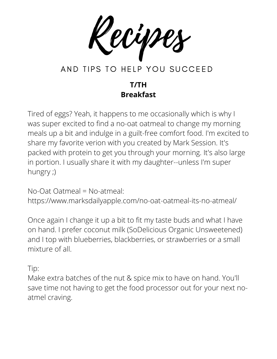Recipes

### **T/TH Breakfast**

Tired of eggs? Yeah, it happens to me occasionally which is why I was super excited to find a no-oat oatmeal to change my morning meals up a bit and indulge in a guilt-free comfort food. I'm excited to share my favorite verion with you created by Mark Session. It's packed with protein to get you through your morning. It's also large in portion. I usually share it with my daughter--unless I'm super hungry ;)

No-Oat Oatmeal = No-atmeal:

https://www.marksdailyapple.com/no-oat-oatmeal-its-no-atmeal/

Once again I change it up a bit to fit my taste buds and what I have on hand. I prefer coconut milk (SoDelicious Organic Unsweetened) and I top with blueberries, blackberries, or strawberries or a small mixture of all.

Tip:

Make extra batches of the nut & spice mix to have on hand. You'll save time not having to get the food processor out for your next noatmel craving.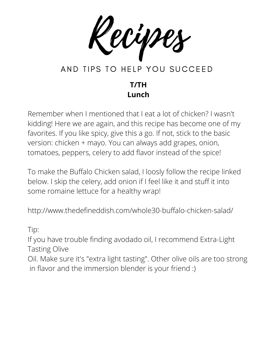Recipes

#### **T/TH Lunch**

Remember when I mentioned that I eat a lot of chicken? I wasn't kidding! Here we are again, and this recipe has become one of my favorites. If you like spicy, give this a go. If not, stick to the basic version: chicken + mayo. You can always add grapes, onion, tomatoes, peppers, celery to add flavor instead of the spice!

To make the Buffalo Chicken salad, I loosly follow the recipe linked below. I skip the celery, add onion if I feel like it and stuff it into some romaine lettuce for a healthy wrap!

http://www.thedefineddish.com/whole30-buffalo-chicken-salad/

Tip:

If you have trouble finding avodado oil, I recommend Extra-Light Tasting Olive

Oil. Make sure it's "extra light tasting". Other olive oils are too strong in flavor and the immersion blender is your friend :)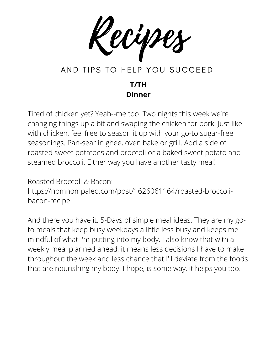Recipes

#### **T/TH Dinner**

Tired of chicken yet? Yeah--me too. Two nights this week we're changing things up a bit and swaping the chicken for pork. Just like with chicken, feel free to season it up with your go-to sugar-free seasonings. Pan-sear in ghee, oven bake or grill. Add a side of roasted sweet potatoes and broccoli or a baked sweet potato and steamed broccoli. Either way you have another tasty meal!

Roasted Broccoli & Bacon: https://nomnompaleo.com/post/1626061164/roasted-broccolibacon-recipe

And there you have it. 5-Days of simple meal ideas. They are my goto meals that keep busy weekdays a little less busy and keeps me mindful of what I'm putting into my body. I also know that with a weekly meal planned ahead, it means less decisions I have to make throughout the week and less chance that I'll deviate from the foods that are nourishing my body. I hope, is some way, it helps you too.